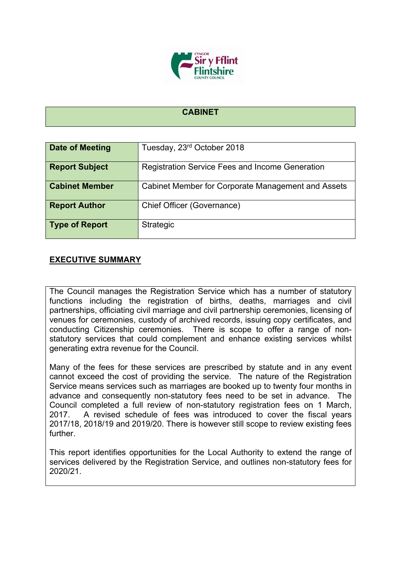

#### **CABINET**

| Date of Meeting       | Tuesday, 23rd October 2018                             |  |  |
|-----------------------|--------------------------------------------------------|--|--|
| <b>Report Subject</b> | <b>Registration Service Fees and Income Generation</b> |  |  |
| <b>Cabinet Member</b> | Cabinet Member for Corporate Management and Assets     |  |  |
| <b>Report Author</b>  | Chief Officer (Governance)                             |  |  |
| <b>Type of Report</b> | Strategic                                              |  |  |

### **EXECUTIVE SUMMARY**

The Council manages the Registration Service which has a number of statutory functions including the registration of births, deaths, marriages and civil partnerships, officiating civil marriage and civil partnership ceremonies, licensing of venues for ceremonies, custody of archived records, issuing copy certificates, and conducting Citizenship ceremonies. There is scope to offer a range of nonstatutory services that could complement and enhance existing services whilst generating extra revenue for the Council.

Many of the fees for these services are prescribed by statute and in any event cannot exceed the cost of providing the service. The nature of the Registration Service means services such as marriages are booked up to twenty four months in advance and consequently non-statutory fees need to be set in advance. The Council completed a full review of non-statutory registration fees on 1 March, 2017. A revised schedule of fees was introduced to cover the fiscal years 2017/18, 2018/19 and 2019/20. There is however still scope to review existing fees further.

This report identifies opportunities for the Local Authority to extend the range of services delivered by the Registration Service, and outlines non-statutory fees for 2020/21.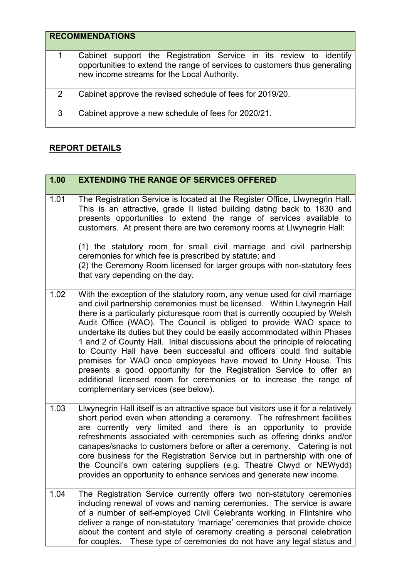|               | <b>RECOMMENDATIONS</b>                                                                                                                                                                          |
|---------------|-------------------------------------------------------------------------------------------------------------------------------------------------------------------------------------------------|
| 1             | Cabinet support the Registration Service in its review to identify<br>opportunities to extend the range of services to customers thus generating<br>new income streams for the Local Authority. |
| $\mathcal{P}$ | Cabinet approve the revised schedule of fees for 2019/20.                                                                                                                                       |
| 3             | Cabinet approve a new schedule of fees for 2020/21.                                                                                                                                             |

## **REPORT DETAILS**

| 1.00 | <b>EXTENDING THE RANGE OF SERVICES OFFERED</b>                                                                                                                                                                                                                                                                                                                                                                                                                                                                                                                                                                                                                                                                                                                                                               |
|------|--------------------------------------------------------------------------------------------------------------------------------------------------------------------------------------------------------------------------------------------------------------------------------------------------------------------------------------------------------------------------------------------------------------------------------------------------------------------------------------------------------------------------------------------------------------------------------------------------------------------------------------------------------------------------------------------------------------------------------------------------------------------------------------------------------------|
| 1.01 | The Registration Service is located at the Register Office, Llwynegrin Hall.<br>This is an attractive, grade II listed building dating back to 1830 and<br>presents opportunities to extend the range of services available to<br>customers. At present there are two ceremony rooms at Llwynegrin Hall:                                                                                                                                                                                                                                                                                                                                                                                                                                                                                                     |
|      | (1) the statutory room for small civil marriage and civil partnership<br>ceremonies for which fee is prescribed by statute; and<br>(2) the Ceremony Room licensed for larger groups with non-statutory fees<br>that vary depending on the day.                                                                                                                                                                                                                                                                                                                                                                                                                                                                                                                                                               |
| 1.02 | With the exception of the statutory room, any venue used for civil marriage<br>and civil partnership ceremonies must be licensed. Within Llwynegrin Hall<br>there is a particularly picturesque room that is currently occupied by Welsh<br>Audit Office (WAO). The Council is obliged to provide WAO space to<br>undertake its duties but they could be easily accommodated within Phases<br>1 and 2 of County Hall. Initial discussions about the principle of relocating<br>to County Hall have been successful and officers could find suitable<br>premises for WAO once employees have moved to Unity House. This<br>presents a good opportunity for the Registration Service to offer an<br>additional licensed room for ceremonies or to increase the range of<br>complementary services (see below). |
| 1.03 | Llwynegrin Hall itself is an attractive space but visitors use it for a relatively<br>short period even when attending a ceremony. The refreshment facilities<br>are currently very limited and there is an opportunity to provide<br>refreshments associated with ceremonies such as offering drinks and/or<br>canapes/snacks to customers before or after a ceremony. Catering is not<br>core business for the Registration Service but in partnership with one of<br>the Council's own catering suppliers (e.g. Theatre Clwyd or NEWydd)<br>provides an opportunity to enhance services and generate new income.                                                                                                                                                                                          |
| 1.04 | The Registration Service currently offers two non-statutory ceremonies<br>including renewal of vows and naming ceremonies. The service is aware<br>of a number of self-employed Civil Celebrants working in Flintshire who<br>deliver a range of non-statutory 'marriage' ceremonies that provide choice<br>about the content and style of ceremony creating a personal celebration<br>These type of ceremonies do not have any legal status and<br>for couples.                                                                                                                                                                                                                                                                                                                                             |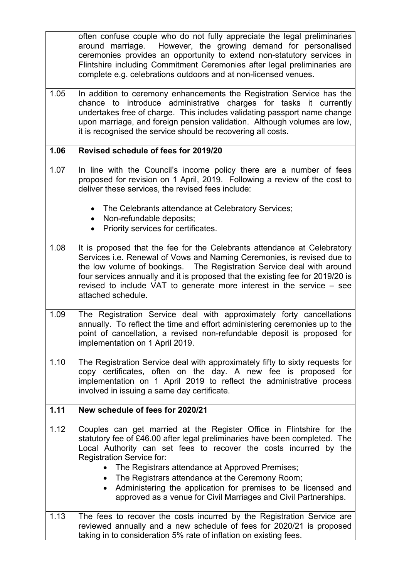|      | often confuse couple who do not fully appreciate the legal preliminaries<br>around marriage. However, the growing demand for personalised<br>ceremonies provides an opportunity to extend non-statutory services in<br>Flintshire including Commitment Ceremonies after legal preliminaries are<br>complete e.g. celebrations outdoors and at non-licensed venues.                                                                                                                                                              |  |  |  |
|------|---------------------------------------------------------------------------------------------------------------------------------------------------------------------------------------------------------------------------------------------------------------------------------------------------------------------------------------------------------------------------------------------------------------------------------------------------------------------------------------------------------------------------------|--|--|--|
| 1.05 | In addition to ceremony enhancements the Registration Service has the<br>chance to introduce administrative charges for tasks it currently<br>undertakes free of charge. This includes validating passport name change<br>upon marriage, and foreign pension validation. Although volumes are low,<br>it is recognised the service should be recovering all costs.                                                                                                                                                              |  |  |  |
| 1.06 | Revised schedule of fees for 2019/20                                                                                                                                                                                                                                                                                                                                                                                                                                                                                            |  |  |  |
| 1.07 | In line with the Council's income policy there are a number of fees<br>proposed for revision on 1 April, 2019. Following a review of the cost to<br>deliver these services, the revised fees include:                                                                                                                                                                                                                                                                                                                           |  |  |  |
|      | The Celebrants attendance at Celebratory Services;<br>Non-refundable deposits;<br>$\bullet$<br>Priority services for certificates.                                                                                                                                                                                                                                                                                                                                                                                              |  |  |  |
| 1.08 | It is proposed that the fee for the Celebrants attendance at Celebratory<br>Services i.e. Renewal of Vows and Naming Ceremonies, is revised due to<br>the low volume of bookings.  The Registration Service deal with around<br>four services annually and it is proposed that the existing fee for 2019/20 is<br>revised to include VAT to generate more interest in the service – see<br>attached schedule.                                                                                                                   |  |  |  |
| 1.09 | The Registration Service deal with approximately forty cancellations<br>annually. To reflect the time and effort administering ceremonies up to the<br>point of cancellation, a revised non-refundable deposit is proposed for<br>implementation on 1 April 2019.                                                                                                                                                                                                                                                               |  |  |  |
| 1.10 | The Registration Service deal with approximately fifty to sixty requests for<br>copy certificates, often on the day. A new fee is proposed for<br>implementation on 1 April 2019 to reflect the administrative process<br>involved in issuing a same day certificate.                                                                                                                                                                                                                                                           |  |  |  |
| 1.11 | New schedule of fees for 2020/21                                                                                                                                                                                                                                                                                                                                                                                                                                                                                                |  |  |  |
| 1.12 | Couples can get married at the Register Office in Flintshire for the<br>statutory fee of £46.00 after legal preliminaries have been completed. The<br>Local Authority can set fees to recover the costs incurred by the<br><b>Registration Service for:</b><br>The Registrars attendance at Approved Premises;<br>The Registrars attendance at the Ceremony Room;<br>$\bullet$<br>Administering the application for premises to be licensed and<br>$\bullet$<br>approved as a venue for Civil Marriages and Civil Partnerships. |  |  |  |
| 1.13 | The fees to recover the costs incurred by the Registration Service are<br>reviewed annually and a new schedule of fees for 2020/21 is proposed<br>taking in to consideration 5% rate of inflation on existing fees.                                                                                                                                                                                                                                                                                                             |  |  |  |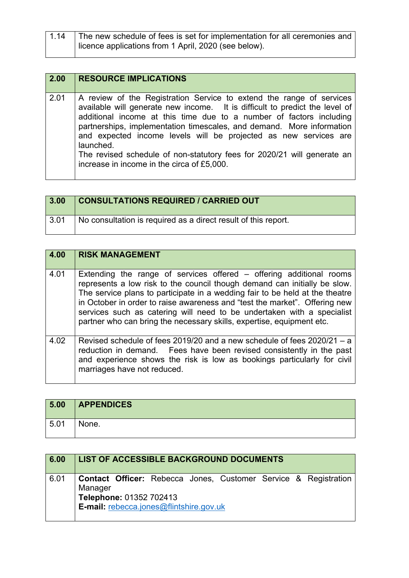| 1.14 | The new schedule of fees is set for implementation for all ceremonies and  <br>licence applications from 1 April, 2020 (see below). |
|------|-------------------------------------------------------------------------------------------------------------------------------------|
|      |                                                                                                                                     |

| 2.00 | <b>RESOURCE IMPLICATIONS</b>                                                                                                                                                                                                                                                                                                                                                                                                                                                                                  |
|------|---------------------------------------------------------------------------------------------------------------------------------------------------------------------------------------------------------------------------------------------------------------------------------------------------------------------------------------------------------------------------------------------------------------------------------------------------------------------------------------------------------------|
| 2.01 | A review of the Registration Service to extend the range of services<br>available will generate new income. It is difficult to predict the level of<br>additional income at this time due to a number of factors including<br>partnerships, implementation timescales, and demand. More information<br>and expected income levels will be projected as new services are<br>launched.<br>The revised schedule of non-statutory fees for 2020/21 will generate an<br>increase in income in the circa of £5,000. |

| 3.00 | <b>CONSULTATIONS REQUIRED / CARRIED OUT</b>                    |
|------|----------------------------------------------------------------|
| 3.01 | No consultation is required as a direct result of this report. |

| 4.00 | <b>RISK MANAGEMENT</b>                                                                                                                                                                                                                                                                                                                                                                                                                                            |
|------|-------------------------------------------------------------------------------------------------------------------------------------------------------------------------------------------------------------------------------------------------------------------------------------------------------------------------------------------------------------------------------------------------------------------------------------------------------------------|
| 4.01 | Extending the range of services offered – offering additional rooms<br>represents a low risk to the council though demand can initially be slow.<br>The service plans to participate in a wedding fair to be held at the theatre<br>in October in order to raise awareness and "test the market". Offering new<br>services such as catering will need to be undertaken with a specialist<br>partner who can bring the necessary skills, expertise, equipment etc. |
| 4.02 | Revised schedule of fees 2019/20 and a new schedule of fees $2020/21 - a$<br>reduction in demand. Fees have been revised consistently in the past<br>and experience shows the risk is low as bookings particularly for civil<br>marriages have not reduced.                                                                                                                                                                                                       |

| 5.00 | <b>APPENDICES</b> |
|------|-------------------|
| 5.01 | None.             |

| 6.00 | LIST OF ACCESSIBLE BACKGROUND DOCUMENTS                                                                                                                 |
|------|---------------------------------------------------------------------------------------------------------------------------------------------------------|
| 6.01 | <b>Contact Officer:</b> Rebecca Jones, Customer Service & Registration<br>Manager<br>Telephone: 01352 702413<br>E-mail: rebecca.jones@flintshire.gov.uk |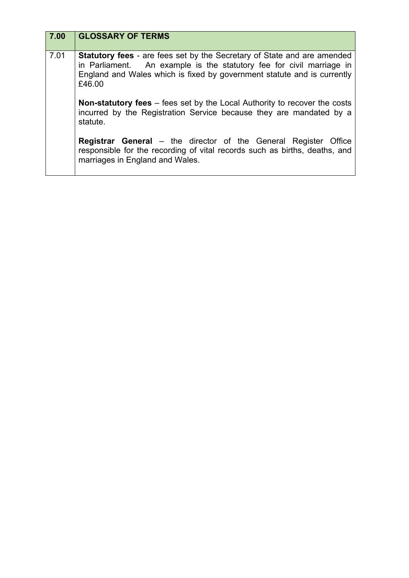| 7.00 | <b>GLOSSARY OF TERMS</b>                                                                                                                                                                                                                    |
|------|---------------------------------------------------------------------------------------------------------------------------------------------------------------------------------------------------------------------------------------------|
| 7.01 | <b>Statutory fees</b> - are fees set by the Secretary of State and are amended<br>in Parliament. An example is the statutory fee for civil marriage in<br>England and Wales which is fixed by government statute and is currently<br>£46.00 |
|      | <b>Non-statutory fees</b> – fees set by the Local Authority to recover the costs<br>incurred by the Registration Service because they are mandated by a<br>statute.                                                                         |
|      | <b>Registrar General</b> – the director of the General Register Office<br>responsible for the recording of vital records such as births, deaths, and<br>marriages in England and Wales.                                                     |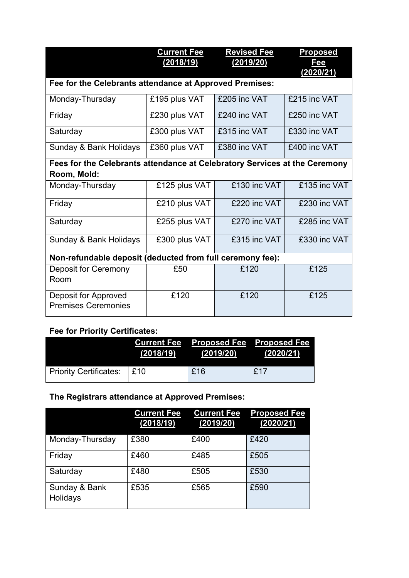|                                                                            | <b>Current Fee</b> | <b>Revised Fee</b> | <b>Proposed</b>         |
|----------------------------------------------------------------------------|--------------------|--------------------|-------------------------|
|                                                                            | (2018/19)          | (2019/20)          | <u>Fee</u><br>(2020/21) |
| Fee for the Celebrants attendance at Approved Premises:                    |                    |                    |                         |
|                                                                            |                    |                    |                         |
| Monday-Thursday                                                            | £195 plus VAT      | £205 inc VAT       | £215 inc VAT            |
| Friday                                                                     | £230 plus VAT      | £240 inc VAT       | £250 inc VAT            |
| Saturday                                                                   | £300 plus VAT      | £315 inc VAT       | £330 inc VAT            |
| Sunday & Bank Holidays                                                     | £360 plus VAT      | £380 inc VAT       | £400 inc VAT            |
| Fees for the Celebrants attendance at Celebratory Services at the Ceremony |                    |                    |                         |
| Room, Mold:                                                                |                    |                    |                         |
| Monday-Thursday                                                            | £125 plus VAT      | £130 inc VAT       | £135 inc VAT            |
| Friday                                                                     | £210 plus VAT      | £220 inc VAT       | £230 inc VAT            |
| Saturday                                                                   | £255 plus VAT      | £270 inc VAT       | £285 inc VAT            |
| Sunday & Bank Holidays                                                     | £300 plus VAT      | £315 inc VAT       | £330 inc VAT            |
| Non-refundable deposit (deducted from full ceremony fee):                  |                    |                    |                         |
| Deposit for Ceremony<br>Room                                               | £50                | £120               | £125                    |
| Deposit for Approved<br><b>Premises Ceremonies</b>                         | £120               | £120               | £125                    |

## **Fee for Priority Certificates:**

|                        | (2018/19) | Current Fee Proposed Fee   Proposed Fee<br>(2019/20) | (2020/21) |
|------------------------|-----------|------------------------------------------------------|-----------|
| Priority Certificates: | E10       | £16                                                  | £17       |

# **The Registrars attendance at Approved Premises:**

|                           | <b>Current Fee</b><br>(2018/19) | <b>Current Fee</b><br>(2019/20) | <b>Proposed Fee</b><br>(2020/21) |
|---------------------------|---------------------------------|---------------------------------|----------------------------------|
| Monday-Thursday           | £380                            | £400                            | £420                             |
| Friday                    | £460                            | £485                            | £505                             |
| Saturday                  | £480                            | £505                            | £530                             |
| Sunday & Bank<br>Holidays | £535                            | £565                            | £590                             |